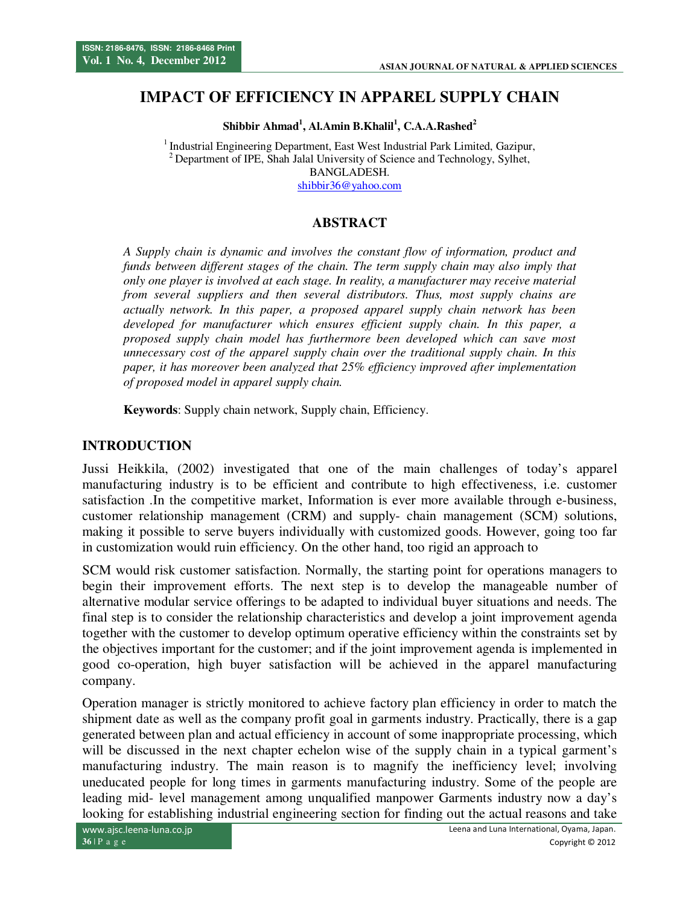# **IMPACT OF EFFICIENCY IN APPAREL SUPPLY CHAIN**

**Shibbir Ahmad<sup>1</sup> , Al.Amin B.Khalil<sup>1</sup> , C.A.A.Rashed<sup>2</sup>**

<sup>1</sup> Industrial Engineering Department, East West Industrial Park Limited, Gazipur, <sup>2</sup> Department of IPE, Shah Jalal University of Science and Technology, Sylhet, BANGLADESH. shibbir36@yahoo.com

# **ABSTRACT**

*A Supply chain is dynamic and involves the constant flow of information, product and funds between different stages of the chain. The term supply chain may also imply that only one player is involved at each stage. In reality, a manufacturer may receive material from several suppliers and then several distributors. Thus, most supply chains are actually network. In this paper, a proposed apparel supply chain network has been developed for manufacturer which ensures efficient supply chain. In this paper, a proposed supply chain model has furthermore been developed which can save most unnecessary cost of the apparel supply chain over the traditional supply chain. In this paper, it has moreover been analyzed that 25% efficiency improved after implementation of proposed model in apparel supply chain.* 

**Keywords**: Supply chain network, Supply chain, Efficiency.

#### **INTRODUCTION**

Jussi Heikkila, (2002) investigated that one of the main challenges of today's apparel manufacturing industry is to be efficient and contribute to high effectiveness, i.e. customer satisfaction .In the competitive market, Information is ever more available through e-business, customer relationship management (CRM) and supply- chain management (SCM) solutions, making it possible to serve buyers individually with customized goods. However, going too far in customization would ruin efficiency. On the other hand, too rigid an approach to

SCM would risk customer satisfaction. Normally, the starting point for operations managers to begin their improvement efforts. The next step is to develop the manageable number of alternative modular service offerings to be adapted to individual buyer situations and needs. The final step is to consider the relationship characteristics and develop a joint improvement agenda together with the customer to develop optimum operative efficiency within the constraints set by the objectives important for the customer; and if the joint improvement agenda is implemented in good co-operation, high buyer satisfaction will be achieved in the apparel manufacturing company.

Operation manager is strictly monitored to achieve factory plan efficiency in order to match the shipment date as well as the company profit goal in garments industry. Practically, there is a gap generated between plan and actual efficiency in account of some inappropriate processing, which will be discussed in the next chapter echelon wise of the supply chain in a typical garment's manufacturing industry. The main reason is to magnify the inefficiency level; involving uneducated people for long times in garments manufacturing industry. Some of the people are leading mid- level management among unqualified manpower Garments industry now a day's looking for establishing industrial engineering section for finding out the actual reasons and take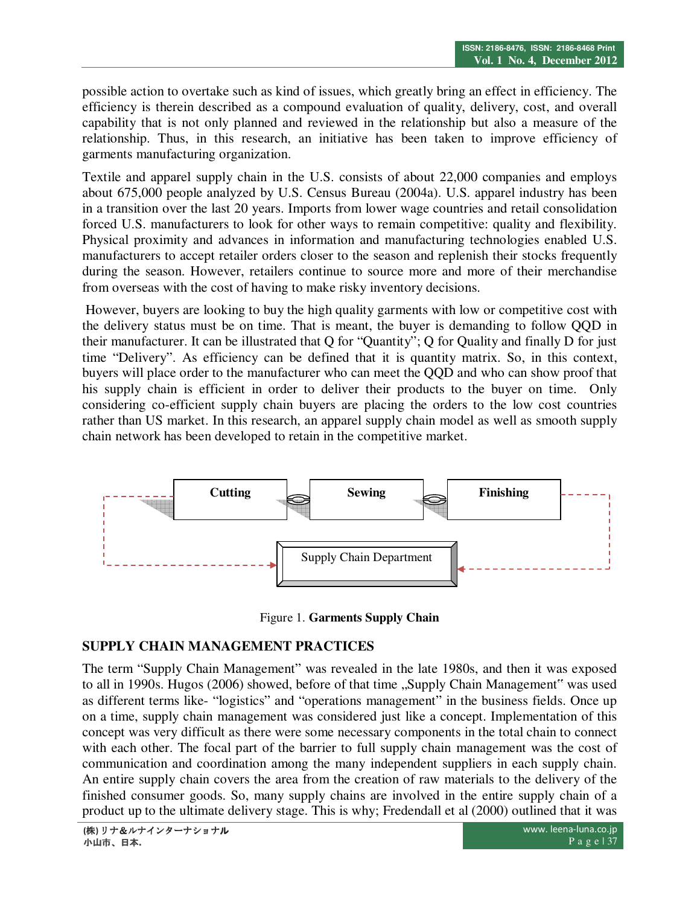possible action to overtake such as kind of issues, which greatly bring an effect in efficiency. The efficiency is therein described as a compound evaluation of quality, delivery, cost, and overall capability that is not only planned and reviewed in the relationship but also a measure of the relationship. Thus, in this research, an initiative has been taken to improve efficiency of garments manufacturing organization.

Textile and apparel supply chain in the U.S. consists of about 22,000 companies and employs about 675,000 people analyzed by U.S. Census Bureau (2004a). U.S. apparel industry has been in a transition over the last 20 years. Imports from lower wage countries and retail consolidation forced U.S. manufacturers to look for other ways to remain competitive: quality and flexibility. Physical proximity and advances in information and manufacturing technologies enabled U.S. manufacturers to accept retailer orders closer to the season and replenish their stocks frequently during the season. However, retailers continue to source more and more of their merchandise from overseas with the cost of having to make risky inventory decisions.

 However, buyers are looking to buy the high quality garments with low or competitive cost with the delivery status must be on time. That is meant, the buyer is demanding to follow QQD in their manufacturer. It can be illustrated that Q for "Quantity"; Q for Quality and finally D for just time "Delivery". As efficiency can be defined that it is quantity matrix. So, in this context, buyers will place order to the manufacturer who can meet the QQD and who can show proof that his supply chain is efficient in order to deliver their products to the buyer on time. Only considering co-efficient supply chain buyers are placing the orders to the low cost countries rather than US market. In this research, an apparel supply chain model as well as smooth supply chain network has been developed to retain in the competitive market.



Figure 1. **Garments Supply Chain**

# **SUPPLY CHAIN MANAGEMENT PRACTICES**

The term "Supply Chain Management" was revealed in the late 1980s, and then it was exposed to all in 1990s. Hugos (2006) showed, before of that time "Supply Chain Management" was used as different terms like- "logistics" and "operations management" in the business fields. Once up on a time, supply chain management was considered just like a concept. Implementation of this concept was very difficult as there were some necessary components in the total chain to connect with each other. The focal part of the barrier to full supply chain management was the cost of communication and coordination among the many independent suppliers in each supply chain. An entire supply chain covers the area from the creation of raw materials to the delivery of the finished consumer goods. So, many supply chains are involved in the entire supply chain of a product up to the ultimate delivery stage. This is why; Fredendall et al (2000) outlined that it was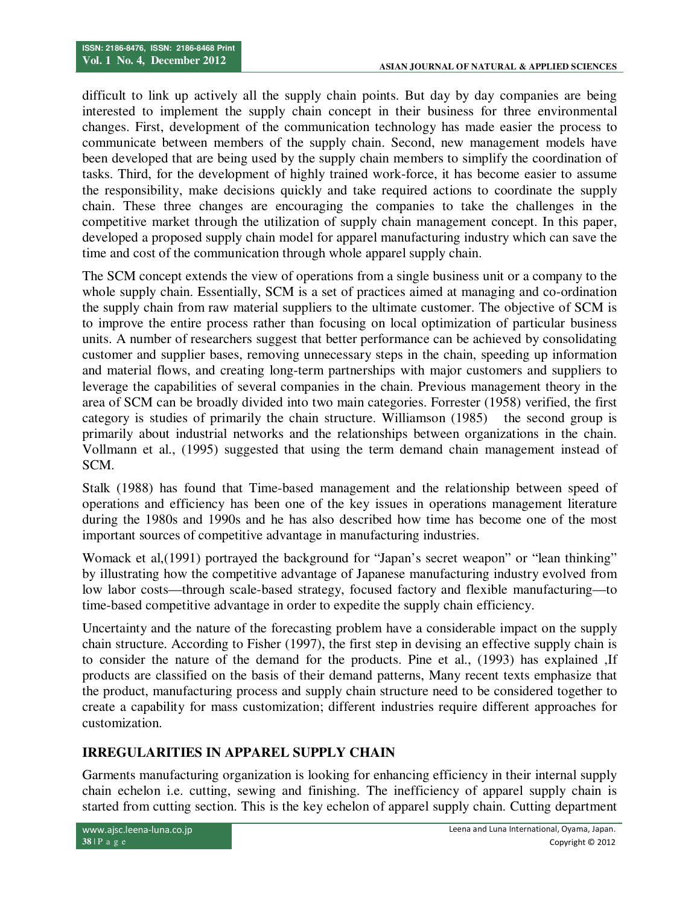difficult to link up actively all the supply chain points. But day by day companies are being interested to implement the supply chain concept in their business for three environmental changes. First, development of the communication technology has made easier the process to communicate between members of the supply chain. Second, new management models have been developed that are being used by the supply chain members to simplify the coordination of tasks. Third, for the development of highly trained work-force, it has become easier to assume the responsibility, make decisions quickly and take required actions to coordinate the supply chain. These three changes are encouraging the companies to take the challenges in the competitive market through the utilization of supply chain management concept. In this paper, developed a proposed supply chain model for apparel manufacturing industry which can save the time and cost of the communication through whole apparel supply chain.

The SCM concept extends the view of operations from a single business unit or a company to the whole supply chain. Essentially, SCM is a set of practices aimed at managing and co-ordination the supply chain from raw material suppliers to the ultimate customer. The objective of SCM is to improve the entire process rather than focusing on local optimization of particular business units. A number of researchers suggest that better performance can be achieved by consolidating customer and supplier bases, removing unnecessary steps in the chain, speeding up information and material flows, and creating long-term partnerships with major customers and suppliers to leverage the capabilities of several companies in the chain. Previous management theory in the area of SCM can be broadly divided into two main categories. Forrester (1958) verified, the first category is studies of primarily the chain structure. Williamson (1985) the second group is primarily about industrial networks and the relationships between organizations in the chain. Vollmann et al., (1995) suggested that using the term demand chain management instead of SCM.

Stalk (1988) has found that Time-based management and the relationship between speed of operations and efficiency has been one of the key issues in operations management literature during the 1980s and 1990s and he has also described how time has become one of the most important sources of competitive advantage in manufacturing industries.

Womack et al, (1991) portrayed the background for "Japan's secret weapon" or "lean thinking" by illustrating how the competitive advantage of Japanese manufacturing industry evolved from low labor costs—through scale-based strategy, focused factory and flexible manufacturing—to time-based competitive advantage in order to expedite the supply chain efficiency.

Uncertainty and the nature of the forecasting problem have a considerable impact on the supply chain structure. According to Fisher (1997), the first step in devising an effective supply chain is to consider the nature of the demand for the products. Pine et al., (1993) has explained ,If products are classified on the basis of their demand patterns, Many recent texts emphasize that the product, manufacturing process and supply chain structure need to be considered together to create a capability for mass customization; different industries require different approaches for customization.

# **IRREGULARITIES IN APPAREL SUPPLY CHAIN**

Garments manufacturing organization is looking for enhancing efficiency in their internal supply chain echelon i.e. cutting, sewing and finishing. The inefficiency of apparel supply chain is started from cutting section. This is the key echelon of apparel supply chain. Cutting department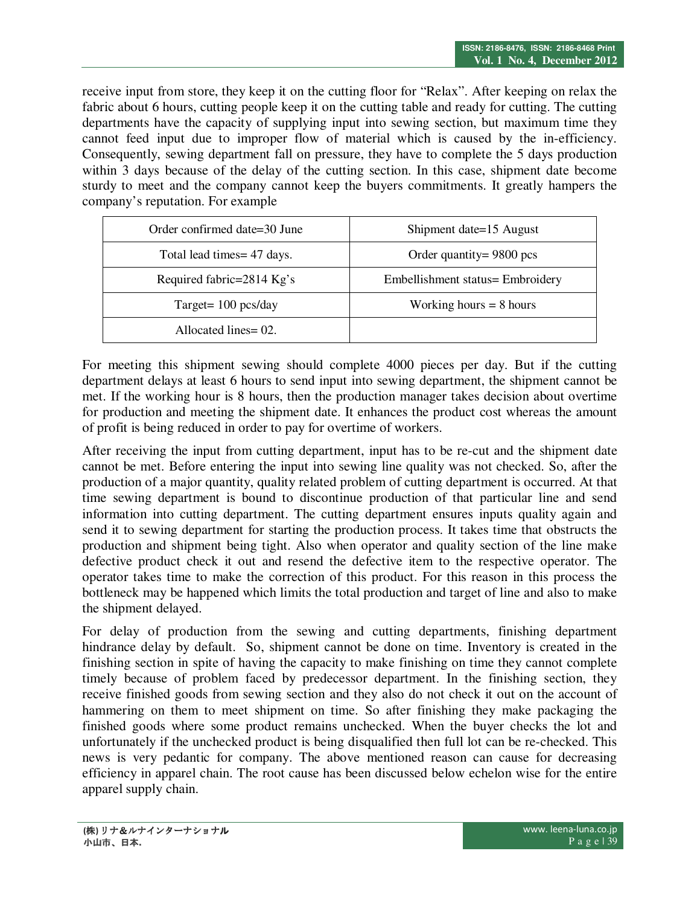receive input from store, they keep it on the cutting floor for "Relax". After keeping on relax the fabric about 6 hours, cutting people keep it on the cutting table and ready for cutting. The cutting departments have the capacity of supplying input into sewing section, but maximum time they cannot feed input due to improper flow of material which is caused by the in-efficiency. Consequently, sewing department fall on pressure, they have to complete the 5 days production within 3 days because of the delay of the cutting section. In this case, shipment date become sturdy to meet and the company cannot keep the buyers commitments. It greatly hampers the company's reputation. For example

| Order confirmed date=30 June | Shipment date=15 August          |  |  |
|------------------------------|----------------------------------|--|--|
| Total lead times = 47 days.  | Order quantity = $9800$ pcs      |  |  |
| Required fabric=2814 Kg's    | Embellishment status= Embroidery |  |  |
| Target = $100$ pcs/day       | Working hours $= 8$ hours        |  |  |
| Allocated lines = 02.        |                                  |  |  |

For meeting this shipment sewing should complete 4000 pieces per day. But if the cutting department delays at least 6 hours to send input into sewing department, the shipment cannot be met. If the working hour is 8 hours, then the production manager takes decision about overtime for production and meeting the shipment date. It enhances the product cost whereas the amount of profit is being reduced in order to pay for overtime of workers.

After receiving the input from cutting department, input has to be re-cut and the shipment date cannot be met. Before entering the input into sewing line quality was not checked. So, after the production of a major quantity, quality related problem of cutting department is occurred. At that time sewing department is bound to discontinue production of that particular line and send information into cutting department. The cutting department ensures inputs quality again and send it to sewing department for starting the production process. It takes time that obstructs the production and shipment being tight. Also when operator and quality section of the line make defective product check it out and resend the defective item to the respective operator. The operator takes time to make the correction of this product. For this reason in this process the bottleneck may be happened which limits the total production and target of line and also to make the shipment delayed.

For delay of production from the sewing and cutting departments, finishing department hindrance delay by default. So, shipment cannot be done on time. Inventory is created in the finishing section in spite of having the capacity to make finishing on time they cannot complete timely because of problem faced by predecessor department. In the finishing section, they receive finished goods from sewing section and they also do not check it out on the account of hammering on them to meet shipment on time. So after finishing they make packaging the finished goods where some product remains unchecked. When the buyer checks the lot and unfortunately if the unchecked product is being disqualified then full lot can be re-checked. This news is very pedantic for company. The above mentioned reason can cause for decreasing efficiency in apparel chain. The root cause has been discussed below echelon wise for the entire apparel supply chain.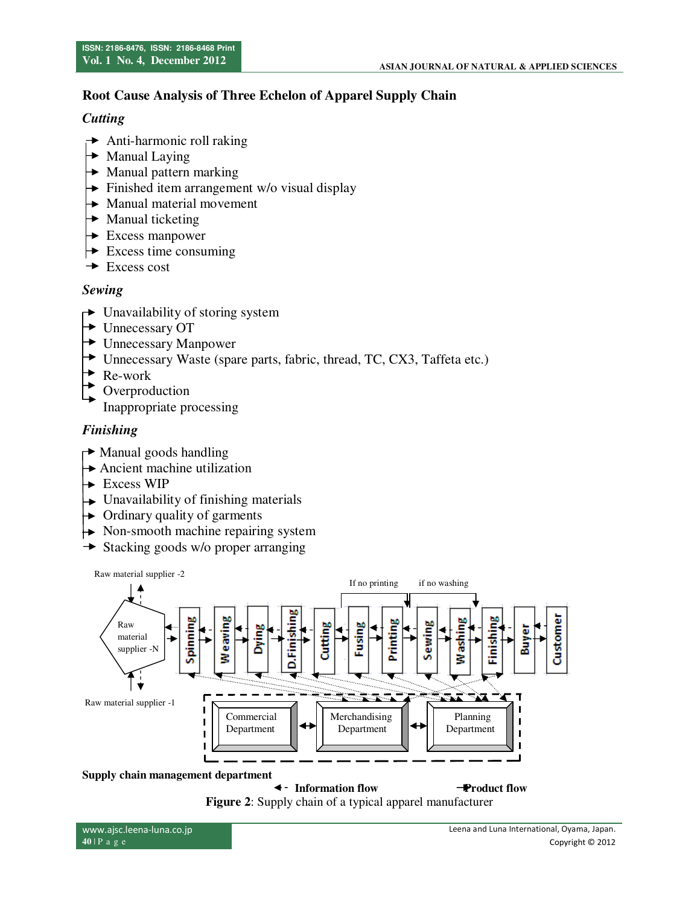# **Root Cause Analysis of Three Echelon of Apparel Supply Chain**

### *Cutting*

- $\rightarrow$  Anti-harmonic roll raking
- $\rightarrow$  Manual Laying
- $\rightarrow$  Manual pattern marking
- $\rightarrow$  Finished item arrangement w/o visual display
- $\rightarrow$  Manual material movement
- $\rightarrow$  Manual ticketing
- $\rightarrow$  Excess manpower
- $\rightarrow$  Excess time consuming
- $\rightarrow$  Excess cost

### *Sewing*

- $\rightarrow$  Unavailability of storing system
- Unnecessary OT
- **► Unnecessary Manpower**
- Unnecessary Waste (spare parts, fabric, thread, TC, CX3, Taffeta etc.)
- $\blacktriangleright$  Re-work
- Overproduction

Inappropriate processing

# *Finishing*

- $\rightarrow$  Manual goods handling
- Ancient machine utilization
- $\rightarrow$  Excess WIP
- $\rightarrow$  Unavailability of finishing materials
- $\rightarrow$  Ordinary quality of garments
- $\rightarrow$  Non-smooth machine repairing system
- $\rightarrow$  Stacking goods w/o proper arranging



**Information flow Product flow Figure 2**: Supply chain of a typical apparel manufacturer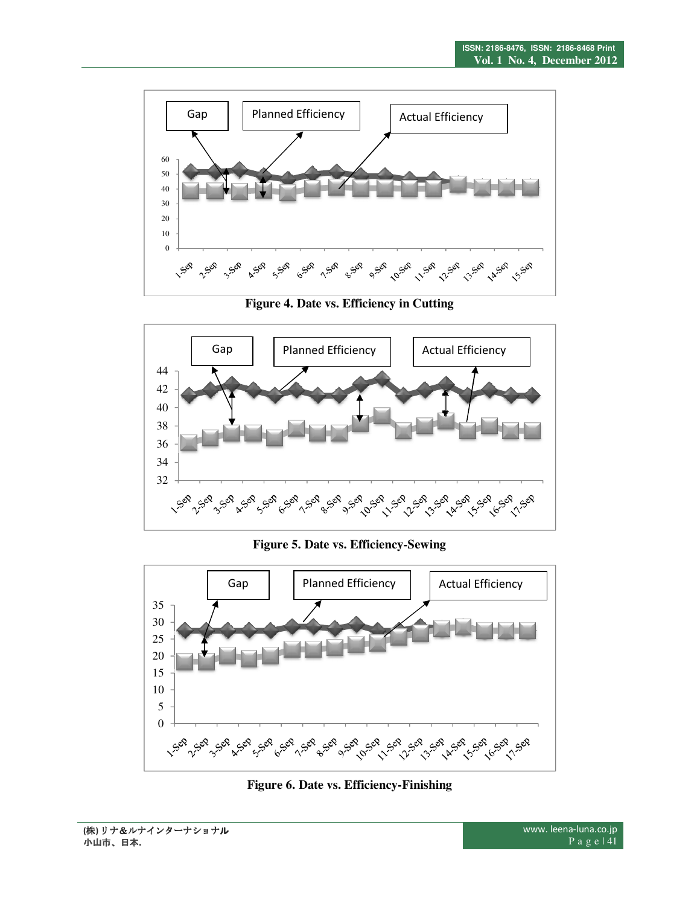

**Figure 4. Date vs. Efficiency in Cutting** 



**Figure 5. Date vs. Efficiency-Sewing** 



**Figure 6. Date vs. Efficiency-Finishing**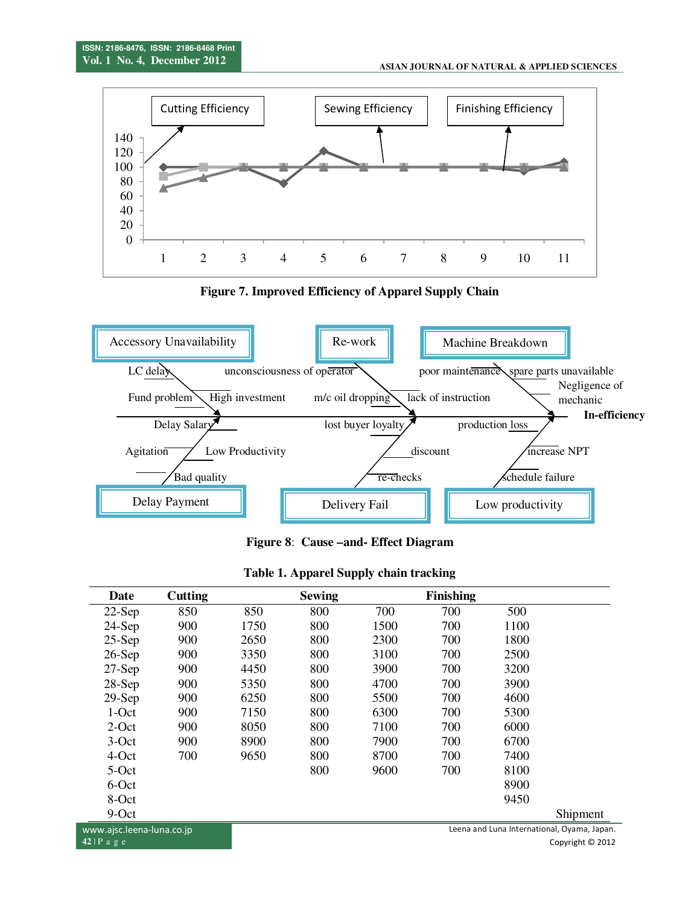

**Figure 7. Improved Efficiency of Apparel Supply Chain** 



**Figure 8**: **Cause –and- Effect Diagram**

| Date                      | Cutting |      | <b>Sewing</b> |      | <b>Finishing</b> |      |                                            |
|---------------------------|---------|------|---------------|------|------------------|------|--------------------------------------------|
| $22-Sep$                  | 850     | 850  | 800           | 700  | 700              | 500  |                                            |
| $24-Sep$                  | 900     | 1750 | 800           | 1500 | 700              | 1100 |                                            |
| $25-Sep$                  | 900     | 2650 | 800           | 2300 | 700              | 1800 |                                            |
| $26-Sep$                  | 900     | 3350 | 800           | 3100 | 700              | 2500 |                                            |
| $27-Sep$                  | 900     | 4450 | 800           | 3900 | 700              | 3200 |                                            |
| $28-Sep$                  | 900     | 5350 | 800           | 4700 | 700              | 3900 |                                            |
| $29-Sep$                  | 900     | 6250 | 800           | 5500 | 700              | 4600 |                                            |
| $1-Oct$                   | 900     | 7150 | 800           | 6300 | 700              | 5300 |                                            |
| $2$ -Oct                  | 900     | 8050 | 800           | 7100 | 700              | 6000 |                                            |
| $3-Oct$                   | 900     | 8900 | 800           | 7900 | 700              | 6700 |                                            |
| 4-Oct                     | 700     | 9650 | 800           | 8700 | 700              | 7400 |                                            |
| 5-Oct                     |         |      | 800           | 9600 | 700              | 8100 |                                            |
| 6-Oct                     |         |      |               |      |                  | 8900 |                                            |
| 8-Oct                     |         |      |               |      |                  | 9450 |                                            |
| $9-Oct$                   |         |      |               |      |                  |      | Shipment                                   |
| www.ajsc.leena-luna.co.jp |         |      |               |      |                  |      | Leena and Luna International, Oyama, Japar |
| $42$ IP a $\sigma$ e      |         |      |               |      |                  |      | $Convright \cap 201$                       |

#### **Table 1. Apparel Supply chain tracking**

Leena and Luna International, Oyama, Japan. Copyright © 2012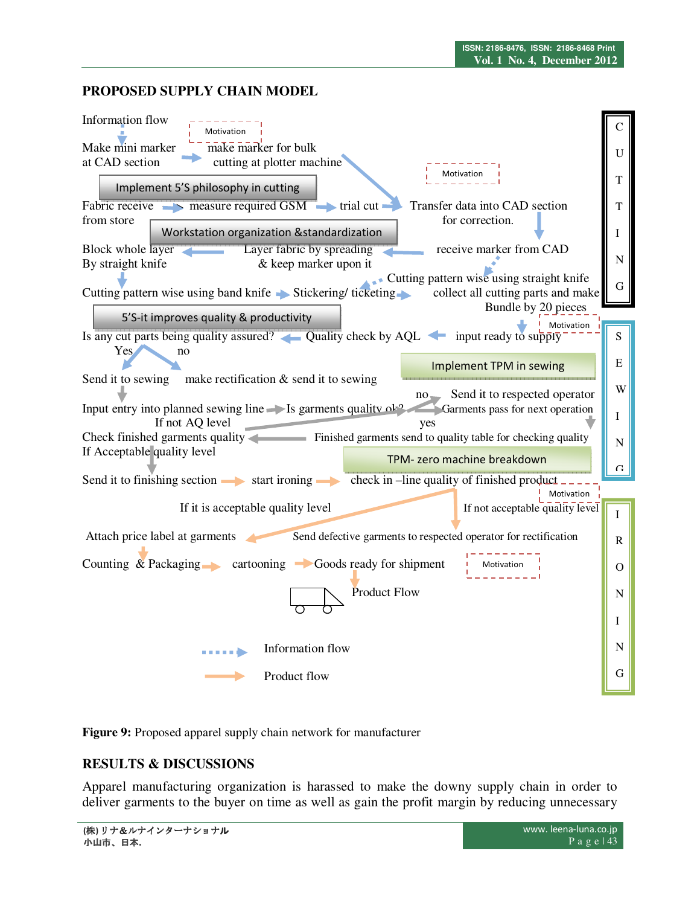# **PROPOSED SUPPLY CHAIN MODEL**



**Figure 9:** Proposed apparel supply chain network for manufacturer

# **RESULTS & DISCUSSIONS**

Apparel manufacturing organization is harassed to make the downy supply chain in order to deliver garments to the buyer on time as well as gain the profit margin by reducing unnecessary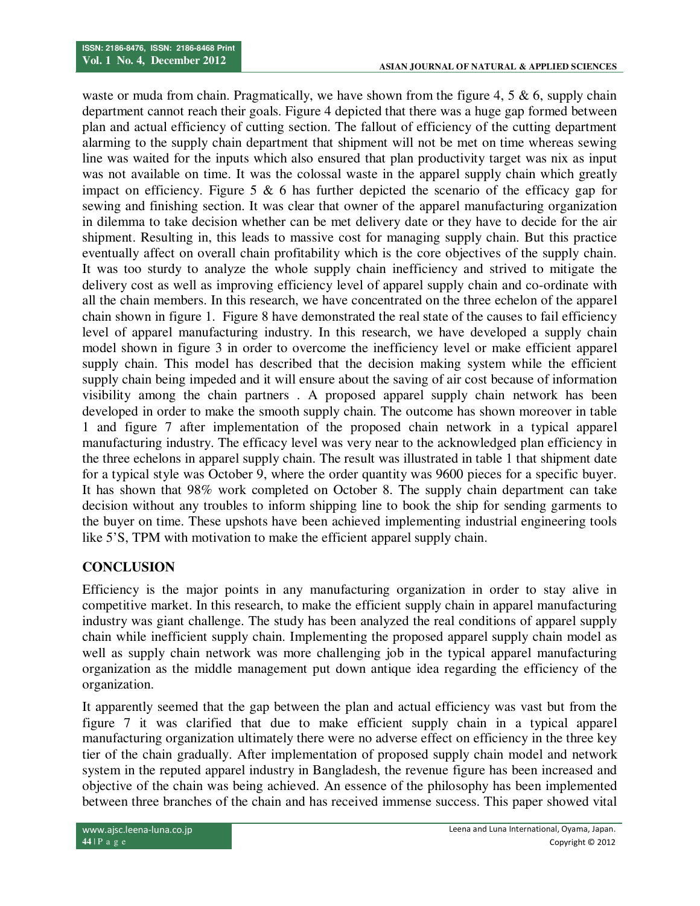waste or muda from chain. Pragmatically, we have shown from the figure 4, 5  $\&$  6, supply chain department cannot reach their goals. Figure 4 depicted that there was a huge gap formed between plan and actual efficiency of cutting section. The fallout of efficiency of the cutting department alarming to the supply chain department that shipment will not be met on time whereas sewing line was waited for the inputs which also ensured that plan productivity target was nix as input was not available on time. It was the colossal waste in the apparel supply chain which greatly impact on efficiency. Figure 5  $\&$  6 has further depicted the scenario of the efficacy gap for sewing and finishing section. It was clear that owner of the apparel manufacturing organization in dilemma to take decision whether can be met delivery date or they have to decide for the air shipment. Resulting in, this leads to massive cost for managing supply chain. But this practice eventually affect on overall chain profitability which is the core objectives of the supply chain. It was too sturdy to analyze the whole supply chain inefficiency and strived to mitigate the delivery cost as well as improving efficiency level of apparel supply chain and co-ordinate with all the chain members. In this research, we have concentrated on the three echelon of the apparel chain shown in figure 1. Figure 8 have demonstrated the real state of the causes to fail efficiency level of apparel manufacturing industry. In this research, we have developed a supply chain model shown in figure 3 in order to overcome the inefficiency level or make efficient apparel supply chain. This model has described that the decision making system while the efficient supply chain being impeded and it will ensure about the saving of air cost because of information visibility among the chain partners . A proposed apparel supply chain network has been developed in order to make the smooth supply chain. The outcome has shown moreover in table 1 and figure 7 after implementation of the proposed chain network in a typical apparel manufacturing industry. The efficacy level was very near to the acknowledged plan efficiency in the three echelons in apparel supply chain. The result was illustrated in table 1 that shipment date for a typical style was October 9, where the order quantity was 9600 pieces for a specific buyer. It has shown that 98% work completed on October 8. The supply chain department can take decision without any troubles to inform shipping line to book the ship for sending garments to the buyer on time. These upshots have been achieved implementing industrial engineering tools like 5'S, TPM with motivation to make the efficient apparel supply chain.

# **CONCLUSION**

Efficiency is the major points in any manufacturing organization in order to stay alive in competitive market. In this research, to make the efficient supply chain in apparel manufacturing industry was giant challenge. The study has been analyzed the real conditions of apparel supply chain while inefficient supply chain. Implementing the proposed apparel supply chain model as well as supply chain network was more challenging job in the typical apparel manufacturing organization as the middle management put down antique idea regarding the efficiency of the organization.

It apparently seemed that the gap between the plan and actual efficiency was vast but from the figure 7 it was clarified that due to make efficient supply chain in a typical apparel manufacturing organization ultimately there were no adverse effect on efficiency in the three key tier of the chain gradually. After implementation of proposed supply chain model and network system in the reputed apparel industry in Bangladesh, the revenue figure has been increased and objective of the chain was being achieved. An essence of the philosophy has been implemented between three branches of the chain and has received immense success. This paper showed vital